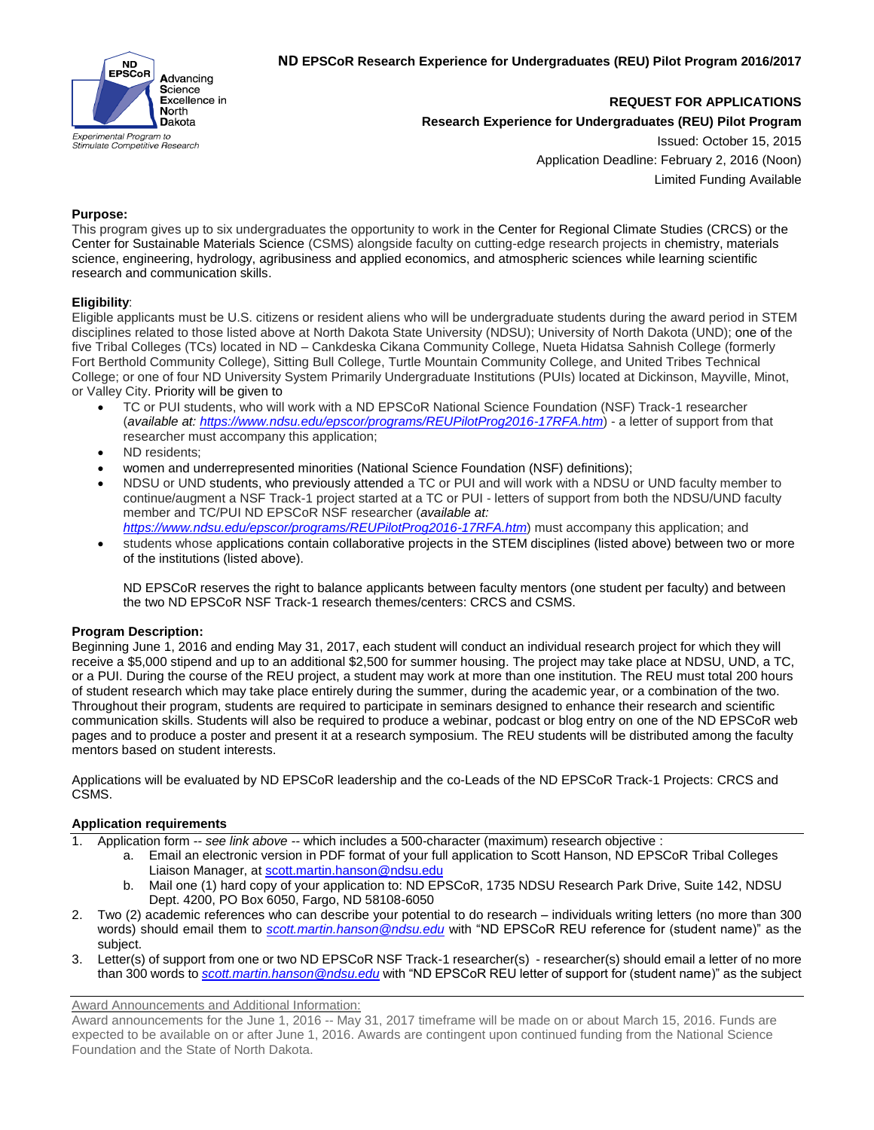

**REQUEST FOR APPLICATIONS**

**Research Experience for Undergraduates (REU) Pilot Program**

Issued: October 15, 2015 Application Deadline: February 2, 2016 (Noon) Limited Funding Available

## **Purpose:**

This program gives up to six undergraduates the opportunity to work in the Center for Regional Climate Studies (CRCS) or the Center for Sustainable Materials Science (CSMS) alongside faculty on cutting-edge research projects in chemistry, materials science, engineering, hydrology, agribusiness and applied economics, and atmospheric sciences while learning scientific research and communication skills.

## **Eligibility**:

Eligible applicants must be U.S. citizens or resident aliens who will be undergraduate students during the award period in STEM disciplines related to those listed above at North Dakota State University (NDSU); University of North Dakota (UND); one of the five Tribal Colleges (TCs) located in ND – Cankdeska Cikana Community College, Nueta Hidatsa Sahnish College (formerly Fort Berthold Community College), Sitting Bull College, Turtle Mountain Community College, and United Tribes Technical College; or one of four ND University System Primarily Undergraduate Institutions (PUIs) located at Dickinson, Mayville, Minot, or Valley City. Priority will be given to

- TC or PUI students, who will work with a ND EPSCoR National Science Foundation (NSF) Track-1 researcher (*available at: <https://www.ndsu.edu/epscor/programs/REUPilotProg2016-17RFA.htm>*) - a letter of support from that researcher must accompany this application;
- ND residents;
- women and underrepresented minorities (National Science Foundation (NSF) definitions);
- NDSU or UND students, who previously attended a TC or PUI and will work with a NDSU or UND faculty member to continue/augment a NSF Track-1 project started at a TC or PUI - letters of support from both the NDSU/UND faculty member and TC/PUI ND EPSCoR NSF researcher (*available at:*
- *<https://www.ndsu.edu/epscor/programs/REUPilotProg2016-17RFA.htm>*) must accompany this application; and students whose applications contain collaborative projects in the STEM disciplines (listed above) between two or more of the institutions (listed above).

ND EPSCoR reserves the right to balance applicants between faculty mentors (one student per faculty) and between the two ND EPSCoR NSF Track-1 research themes/centers: CRCS and CSMS.

## **Program Description:**

Beginning June 1, 2016 and ending May 31, 2017, each student will conduct an individual research project for which they will receive a \$5,000 stipend and up to an additional \$2,500 for summer housing. The project may take place at NDSU, UND, a TC, or a PUI. During the course of the REU project, a student may work at more than one institution. The REU must total 200 hours of student research which may take place entirely during the summer, during the academic year, or a combination of the two. Throughout their program, students are required to participate in seminars designed to enhance their research and scientific communication skills. Students will also be required to produce a webinar, podcast or blog entry on one of the ND EPSCoR web pages and to produce a poster and present it at a research symposium. The REU students will be distributed among the faculty mentors based on student interests.

Applications will be evaluated by ND EPSCoR leadership and the co-Leads of the ND EPSCoR Track-1 Projects: CRCS and CSMS.

## **Application requirements**

- 1. Application form -- *see link above --* which includes a 500-character (maximum) research objective :
	- a. Email an electronic version in PDF format of your full application to Scott Hanson, ND EPSCoR Tribal Colleges Liaison Manager, at [scott.martin.hanson@ndsu.edu](mailto:scott.martin.hanson@ndsu.edu)
	- b. Mail one (1) hard copy of your application to: ND EPSCoR, 1735 NDSU Research Park Drive, Suite 142, NDSU Dept. 4200, PO Box 6050, Fargo, ND 58108-6050
- 2. Two (2) academic references who can describe your potential to do research individuals writing letters (no more than 300 words) should email them to *[scott.martin.hanson@ndsu.edu](mailto:scott.martin.hanson@ndsu.edu)* with "ND EPSCoR REU reference for (student name)" as the subject.
- 3. Letter(s) of support from one or two ND EPSCoR NSF Track-1 researcher(s) researcher(s) should email a letter of no more than 300 words to *[scott.martin.hanson@ndsu.edu](mailto:scott.martin.hanson@ndsu.edu)* with "ND EPSCoR REU letter of support for (student name)" as the subject

Award Announcements and Additional Information:

Award announcements for the June 1, 2016 -- May 31, 2017 timeframe will be made on or about March 15, 2016. Funds are expected to be available on or after June 1, 2016. Awards are contingent upon continued funding from the National Science Foundation and the State of North Dakota.